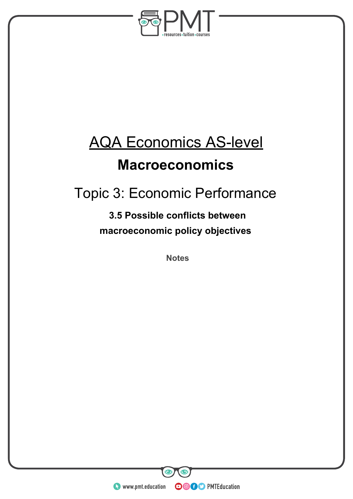

# AQA Economics AS-level

### **Macroeconomics**

## Topic 3: Economic Performance

### **3.5 Possible conflicts between macroeconomic policy objectives**

**Notes** 

**WWW.pmt.education** 

**OOOO** PMTEducation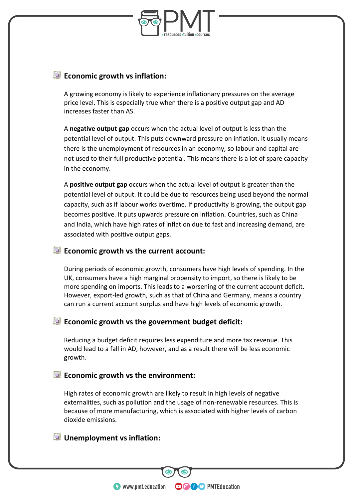

#### **Economic growth vs inflation:**

A growing economy is likely to experience inflationary pressures on the average price level. This is especially true when there is a positive output gap and AD increases faster than AS.

A **negative output gap** occurs when the actual level of output is less than the potential level of output. This puts downward pressure on inflation. It usually means there is the unemployment of resources in an economy, so labour and capital are not used to their full productive potential. This means there is a lot of spare capacity in the economy.

A **positive output gap** occurs when the actual level of output is greater than the potential level of output. It could be due to resources being used beyond the normal capacity, such as if labour works overtime. If productivity is growing, the output gap becomes positive. It puts upwards pressure on inflation. Countries, such as China and India, which have high rates of inflation due to fast and increasing demand, are associated with positive output gaps.

#### **Economic growth vs the current account:**

During periods of economic growth, consumers have high levels of spending. In the UK, consumers have a high marginal propensity to import, so there is likely to be more spending on imports. This leads to a worsening of the current account deficit. However, export-led growth, such as that of China and Germany, means a country can run a current account surplus and have high levels of economic growth.

#### **Economic growth vs the government budget deficit:**

Reducing a budget deficit requires less expenditure and more tax revenue. This would lead to a fall in AD, however, and as a result there will be less economic growth.

#### **Economic growth vs the environment:**

High rates of economic growth are likely to result in high levels of negative externalities, such as pollution and the usage of non-renewable resources. This is because of more manufacturing, which is associated with higher levels of carbon dioxide emissions.

**OOOO** PMTEducation

#### **<u><b>U**</u> Unemployment vs inflation:

**WWW.pmt.education**